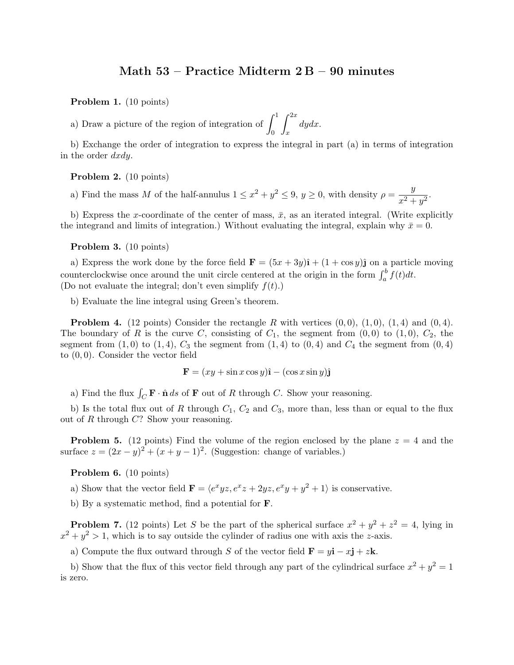## Math 53 – Practice Midterm 2 B – 90 minutes

Problem 1. (10 points)

a) Draw a picture of the region of integration of  $\int_0^1$  $\int_0^{2x}$ x dydx.

b) Exchange the order of integration to express the integral in part (a) in terms of integration in the order dxdy.

Problem 2. (10 points)

a) Find the mass M of the half-annulus  $1 \leq x^2 + y^2 \leq 9$ ,  $y \geq 0$ , with density  $\rho = \frac{y}{2}$  $\frac{y}{x^2+y^2}.$ 

b) Express the x-coordinate of the center of mass,  $\bar{x}$ , as an iterated integral. (Write explicitly the integrand and limits of integration.) Without evaluating the integral, explain why  $\bar{x} = 0$ .

Problem 3. (10 points)

a) Express the work done by the force field  $\mathbf{F} = (5x + 3y)\hat{\mathbf{i}} + (1 + \cos y)\hat{\mathbf{j}}$  on a particle moving counterclockwise once around the unit circle centered at the origin in the form  $\int_a^b f(t)dt$ . (Do not evaluate the integral; don't even simplify  $f(t)$ .)

b) Evaluate the line integral using Green's theorem.

**Problem 4.** (12 points) Consider the rectangle R with vertices  $(0,0)$ ,  $(1,0)$ ,  $(1,4)$  and  $(0,4)$ . The boundary of R is the curve C, consisting of  $C_1$ , the segment from  $(0, 0)$  to  $(1, 0)$ ,  $C_2$ , the segment from  $(1,0)$  to  $(1,4)$ ,  $C_3$  the segment from  $(1,4)$  to  $(0,4)$  and  $C_4$  the segment from  $(0,4)$ to (0, 0). Consider the vector field

$$
\mathbf{F} = (xy + \sin x \cos y)\hat{\mathbf{i}} - (\cos x \sin y)\hat{\mathbf{j}}
$$

a) Find the flux  $\int_C \mathbf{F} \cdot \hat{\mathbf{n}} ds$  of **F** out of R through C. Show your reasoning.

b) Is the total flux out of R through  $C_1$ ,  $C_2$  and  $C_3$ , more than, less than or equal to the flux out of  $R$  through  $C$ ? Show your reasoning.

**Problem 5.** (12 points) Find the volume of the region enclosed by the plane  $z = 4$  and the surface  $z = (2x - y)^2 + (x + y - 1)^2$ . (Suggestion: change of variables.)

Problem 6. (10 points)

a) Show that the vector field  $\mathbf{F} = \langle e^x yz, e^x z + 2yz, e^x y + y^2 + 1 \rangle$  is conservative.

b) By a systematic method, find a potential for F.

**Problem 7.** (12 points) Let S be the part of the spherical surface  $x^2 + y^2 + z^2 = 4$ , lying in  $x^2 + y^2 > 1$ , which is to say outside the cylinder of radius one with axis the z-axis.

a) Compute the flux outward through S of the vector field  $\mathbf{F} = y\mathbf{i} - x\mathbf{j} + z\mathbf{k}$ .

b) Show that the flux of this vector field through any part of the cylindrical surface  $x^2 + y^2 = 1$ is zero.